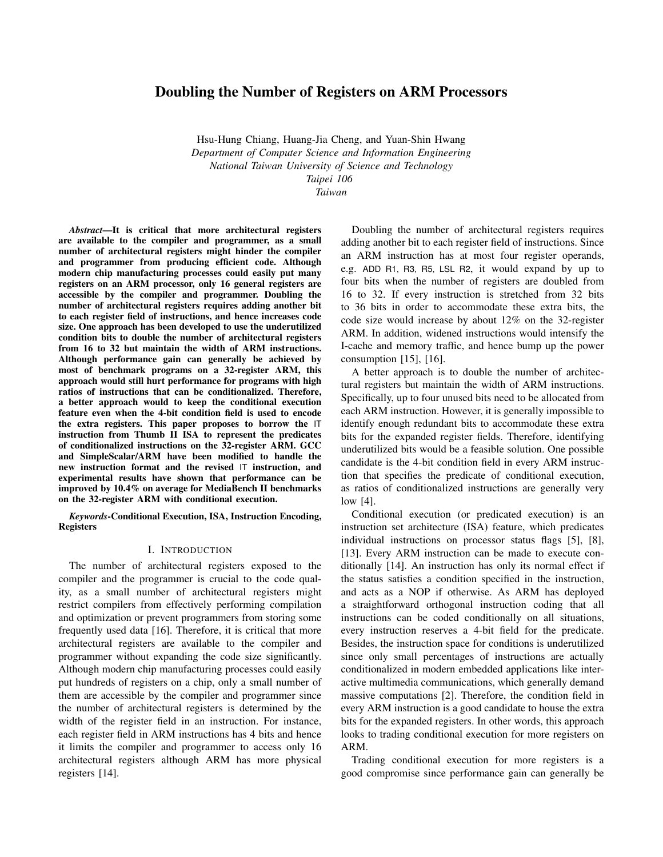# Doubling the Number of Registers on ARM Processors

Hsu-Hung Chiang, Huang-Jia Cheng, and Yuan-Shin Hwang *Department of Computer Science and Information Engineering National Taiwan University of Science and Technology Taipei 106 Taiwan*

*Abstract*—It is critical that more architectural registers are available to the compiler and programmer, as a small number of architectural registers might hinder the compiler and programmer from producing efficient code. Although modern chip manufacturing processes could easily put many registers on an ARM processor, only 16 general registers are accessible by the compiler and programmer. Doubling the number of architectural registers requires adding another bit to each register field of instructions, and hence increases code size. One approach has been developed to use the underutilized condition bits to double the number of architectural registers from 16 to 32 but maintain the width of ARM instructions. Although performance gain can generally be achieved by most of benchmark programs on a 32-register ARM, this approach would still hurt performance for programs with high ratios of instructions that can be conditionalized. Therefore, a better approach would to keep the conditional execution feature even when the 4-bit condition field is used to encode the extra registers. This paper proposes to borrow the IT instruction from Thumb II ISA to represent the predicates of conditionalized instructions on the 32-register ARM. GCC and SimpleScalar/ARM have been modified to handle the new instruction format and the revised IT instruction, and experimental results have shown that performance can be improved by 10.4% on average for MediaBench II benchmarks on the 32-register ARM with conditional execution.

*Keywords*-Conditional Execution, ISA, Instruction Encoding, Registers

#### I. INTRODUCTION

The number of architectural registers exposed to the compiler and the programmer is crucial to the code quality, as a small number of architectural registers might restrict compilers from effectively performing compilation and optimization or prevent programmers from storing some frequently used data [16]. Therefore, it is critical that more architectural registers are available to the compiler and programmer without expanding the code size significantly. Although modern chip manufacturing processes could easily put hundreds of registers on a chip, only a small number of them are accessible by the compiler and programmer since the number of architectural registers is determined by the width of the register field in an instruction. For instance, each register field in ARM instructions has 4 bits and hence it limits the compiler and programmer to access only 16 architectural registers although ARM has more physical registers [14].

Doubling the number of architectural registers requires adding another bit to each register field of instructions. Since an ARM instruction has at most four register operands, e.g. ADD R1, R3, R5, LSL R2, it would expand by up to four bits when the number of registers are doubled from 16 to 32. If every instruction is stretched from 32 bits to 36 bits in order to accommodate these extra bits, the code size would increase by about 12% on the 32-register ARM. In addition, widened instructions would intensify the I-cache and memory traffic, and hence bump up the power consumption  $[15]$ ,  $[16]$ .

A better approach is to double the number of architectural registers but maintain the width of ARM instructions. Specifically, up to four unused bits need to be allocated from each ARM instruction. However, it is generally impossible to identify enough redundant bits to accommodate these extra bits for the expanded register fields. Therefore, identifying underutilized bits would be a feasible solution. One possible candidate is the 4-bit condition field in every ARM instruction that specifies the predicate of conditional execution, as ratios of conditionalized instructions are generally very low [4].

Conditional execution (or predicated execution) is an instruction set architecture (ISA) feature, which predicates individual instructions on processor status flags [5], [8], [13]. Every ARM instruction can be made to execute conditionally [14]. An instruction has only its normal effect if the status satisfies a condition specified in the instruction, and acts as a NOP if otherwise. As ARM has deployed a straightforward orthogonal instruction coding that all instructions can be coded conditionally on all situations, every instruction reserves a 4-bit field for the predicate. Besides, the instruction space for conditions is underutilized since only small percentages of instructions are actually conditionalized in modern embedded applications like interactive multimedia communications, which generally demand massive computations [2]. Therefore, the condition field in every ARM instruction is a good candidate to house the extra bits for the expanded registers. In other words, this approach looks to trading conditional execution for more registers on ARM.

Trading conditional execution for more registers is a good compromise since performance gain can generally be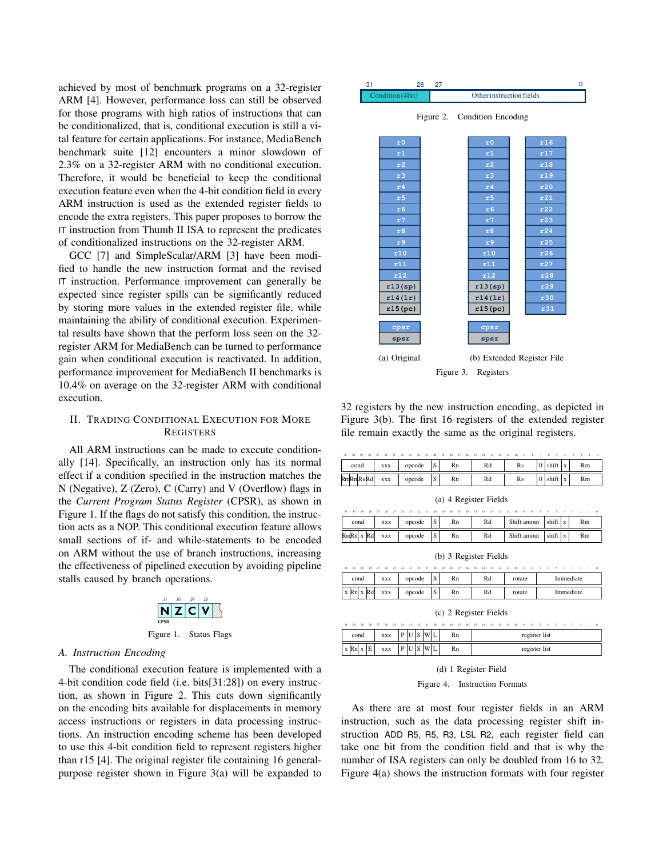achieved by most of benchmark programs on a 32-register ARM [4]. However, performance loss can still be observed for those programs with high ratios of instructions that can be conditionalized, that is, conditional execution is still a vital feature for certain applications. For instance, MediaBench benchmark suite [12] encounters a minor slowdown of 2.3% on a 32-register ARM with no conditional execution. Therefore, it would be beneficial to keep the conditional execution feature even when the 4-bit condition field in every ARM instruction is used as the extended register fields to encode the extra registers. This paper proposes to borrow the IT instruction from Thumb II ISA to represent the predicates of conditionalized instructions on the 32-register ARM.

GCC [7] and SimpleScalar/ARM [3] have been modified to handle the new instruction format and the revised IT instruction. Performance improvement can generally be expected since register spills can be significantly reduced by storing more values in the extended register file, while maintaining the ability of conditional execution. Experimental results have shown that the perform loss seen on the 32 register ARM for MediaBench can be turned to performance gain when conditional execution is reactivated. In addition, performance improvement for MediaBench II benchmarks is 10.4% on average on the 32-register ARM with conditional execution.

### II. TRADING CONDITIONAL EXECUTION FOR MORE **REGISTERS**

All ARM instructions can be made to execute conditionally [14]. Specifically, an instruction only has its normal effect if a condition specified in the instruction matches the N (Negative), Z (Zero), C (Carry) and V (Overflow) flags in the *Current Program Status Register* (CPSR), as shown in Figure 1. If the flags do not satisfy this condition, the instruction acts as a NOP. This conditional execution feature allows small sections of if- and while-statements to be encoded on ARM without the use of branch instructions, increasing the effectiveness of pipelined execution by avoiding pipeline stalls caused by branch operations.



Figure 1. Status Flags

### *A. Instruction Encoding*

The conditional execution feature is implemented with a 4-bit condition code field (i.e. bits[31:28]) on every instruction, as shown in Figure 2. This cuts down significantly on the encoding bits available for displacements in memory access instructions or registers in data processing instructions. An instruction encoding scheme has been developed to use this 4-bit condition field to represent registers higher than r15 [4]. The original register file containing 16 generalpurpose register shown in Figure 3(a) will be expanded to



32 registers by the new instruction encoding, as depicted in Figure 3(b). The first 16 registers of the extended register file remain exactly the same as the original registers.

| 31<br>30<br>29<br>28 | $\mathbf{z}$<br>26<br>27 | 22<br>24<br>-23<br>21 | 20                | 19 | 18<br>17 | 16 | 15 | 14 | 13 | 12 | $\mathbf{11}$ | 10 | 9S |  |       |  |    | $\sim$ |
|----------------------|--------------------------|-----------------------|-------------------|----|----------|----|----|----|----|----|---------------|----|----|--|-------|--|----|--------|
| cond                 | XXX                      | opcode                | $\mathbf{C}$      |    | Rn       |    |    | Rd |    |    |               | Rs |    |  | shift |  | Rm |        |
| RmRnRsRd             | <b>XXX</b>               | opcode                | $\mathbf{C}$<br>P |    | Rn       |    |    | Rd |    |    |               | Rs |    |  | shift |  | Rm |        |
|                      |                          |                       |                   |    |          |    |    |    |    |    |               |    |    |  |       |  |    |        |

|  | (a) 4 Register Fields |
|--|-----------------------|
|--|-----------------------|

|                         |      |  |            |  | 31 30 29 28 27 26 25 24 23 22 21 20 19 18 17 16 15 14 13 12 11 10 9 8 7 6 5 4 3 2 1 0 |  |      |    |  |    |  |             |  |  |             |  |    |  |
|-------------------------|------|--|------------|--|---------------------------------------------------------------------------------------|--|------|----|--|----|--|-------------|--|--|-------------|--|----|--|
|                         | cond |  | <b>XXX</b> |  | opcode                                                                                |  | ls l | Rn |  | Rd |  | Shift amout |  |  | shift $ x $ |  | Rm |  |
| Rn <mark>Rn</mark> x Rd |      |  | <b>XXX</b> |  | opcode                                                                                |  | ls I | Rn |  | Rd |  | Shift amout |  |  | shift $ x $ |  | Rm |  |

(b) 3 Register Fields

| $31 - 30$      | $\infty$ | 28 | $^{\prime}$ | 26         | 24 | 23     | $\sim$ | 21 | 20 | 19 | 18 | 17 | 16 | 15 | 14 | 13 | 12 | 10 <sup>10</sup> |  |  |  |           |  | $\Omega$ |
|----------------|----------|----|-------------|------------|----|--------|--------|----|----|----|----|----|----|----|----|----|----|------------------|--|--|--|-----------|--|----------|
| cond           |          |    |             | <b>XXX</b> |    | opcode |        |    |    |    | Rn |    |    |    | Rd |    |    | rotate           |  |  |  | Immediate |  |          |
| $x \mathbf{R}$ |          | ₹ď |             | <b>XXX</b> |    | opcode |        |    | ◡  |    | Rn |    |    |    | Rd |    |    | rotate           |  |  |  | Immediate |  |          |

(c) 2 Register Fields

|      |  | 31 30 29 28 27 26 25 24 23 22 21 20 |  |   |     |  | 19 |    |  |  |  |  |  |               | 18 17 16 15 14 13 12 11 10 9 8 7 6 5 |  |  |  |
|------|--|-------------------------------------|--|---|-----|--|----|----|--|--|--|--|--|---------------|--------------------------------------|--|--|--|
| cond |  | <b>XXX</b>                          |  |   | כ ו |  |    | Rn |  |  |  |  |  | register list |                                      |  |  |  |
| x Rn |  | <b>XXX</b>                          |  | U | כ ו |  |    | Rn |  |  |  |  |  | register list |                                      |  |  |  |

(d) 1 Register Field

Figure 4. Instruction Formats

As there are at most four register fields in an ARM instruction, such as the data processing register shift instruction ADD R5, R5, R3, LSL R2, each register field can take one bit from the condition field and that is why the number of ISA registers can only be doubled from 16 to 32. Figure 4(a) shows the instruction formats with four register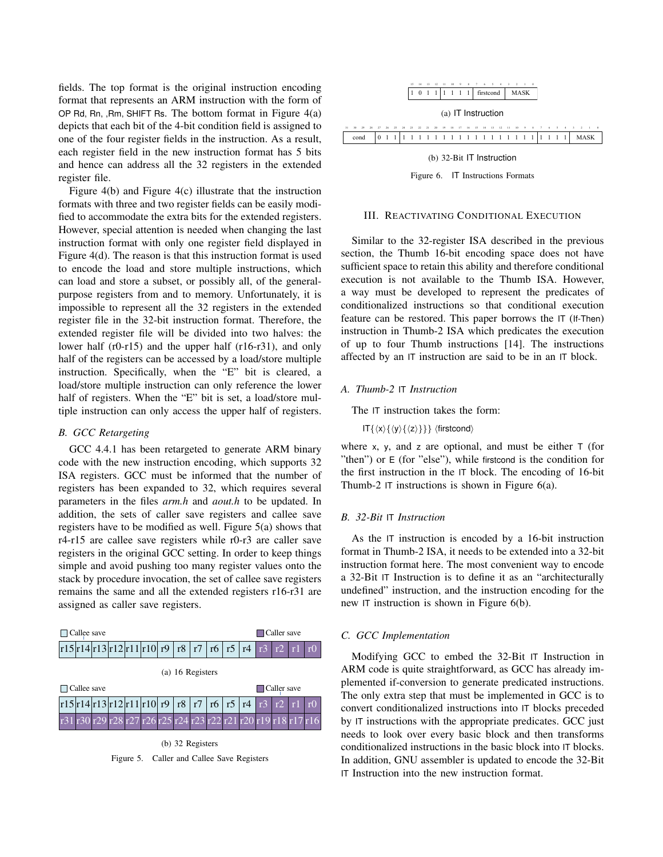fields. The top format is the original instruction encoding format that represents an ARM instruction with the form of OP Rd, Rn, ,Rm, SHIFT Rs. The bottom format in Figure  $4(a)$ depicts that each bit of the 4-bit condition field is assigned to one of the four register fields in the instruction. As a result, each register field in the new instruction format has 5 bits and hence can address all the 32 registers in the extended register file.

Figure 4(b) and Figure 4(c) illustrate that the instruction formats with three and two register fields can be easily modified to accommodate the extra bits for the extended registers. However, special attention is needed when changing the last instruction format with only one register field displayed in Figure 4(d). The reason is that this instruction format is used to encode the load and store multiple instructions, which can load and store a subset, or possibly all, of the generalpurpose registers from and to memory. Unfortunately, it is impossible to represent all the 32 registers in the extended register file in the 32-bit instruction format. Therefore, the extended register file will be divided into two halves: the lower half (r0-r15) and the upper half (r16-r31), and only half of the registers can be accessed by a load/store multiple instruction. Specifically, when the "E" bit is cleared, a load/store multiple instruction can only reference the lower half of registers. When the "E" bit is set, a load/store multiple instruction can only access the upper half of registers.

#### *B. GCC Retargeting*

GCC 4.4.1 has been retargeted to generate ARM binary code with the new instruction encoding, which supports 32 ISA registers. GCC must be informed that the number of registers has been expanded to 32, which requires several parameters in the files *arm.h* and *aout.h* to be updated. In addition, the sets of caller save registers and callee save registers have to be modified as well. Figure 5(a) shows that r4-r15 are callee save registers while r0-r3 are caller save registers in the original GCC setting. In order to keep things simple and avoid pushing too many register values onto the stack by procedure invocation, the set of callee save registers remains the same and all the extended registers r16-r31 are assigned as caller save registers.



(b) 32 Registers Figure 5. Caller and Callee Save Registers



Figure 6. IT Instructions Formats

### III. REACTIVATING CONDITIONAL EXECUTION

Similar to the 32-register ISA described in the previous section, the Thumb 16-bit encoding space does not have sufficient space to retain this ability and therefore conditional execution is not available to the Thumb ISA. However, a way must be developed to represent the predicates of conditionalized instructions so that conditional execution feature can be restored. This paper borrows the IT (If-Then) instruction in Thumb-2 ISA which predicates the execution of up to four Thumb instructions [14]. The instructions affected by an IT instruction are said to be in an IT block.

#### *A. Thumb-2* IT *Instruction*

The IT instruction takes the form:

 $IT\{\langle x\rangle\{\langle y\rangle\{\langle z\rangle\}\}\}\$  (firstcond)

where x, y, and z are optional, and must be either  $\top$  (for "then") or E (for "else"), while firstcond is the condition for the first instruction in the IT block. The encoding of 16-bit Thumb-2 IT instructions is shown in Figure 6(a).

### *B. 32-Bit* IT *Instruction*

As the IT instruction is encoded by a 16-bit instruction format in Thumb-2 ISA, it needs to be extended into a 32-bit instruction format here. The most convenient way to encode a 32-Bit IT Instruction is to define it as an "architecturally undefined" instruction, and the instruction encoding for the new IT instruction is shown in Figure 6(b).

## *C. GCC Implementation*

Modifying GCC to embed the 32-Bit IT Instruction in ARM code is quite straightforward, as GCC has already implemented if-conversion to generate predicated instructions. The only extra step that must be implemented in GCC is to convert conditionalized instructions into IT blocks preceded by IT instructions with the appropriate predicates. GCC just needs to look over every basic block and then transforms conditionalized instructions in the basic block into IT blocks. In addition, GNU assembler is updated to encode the 32-Bit IT Instruction into the new instruction format.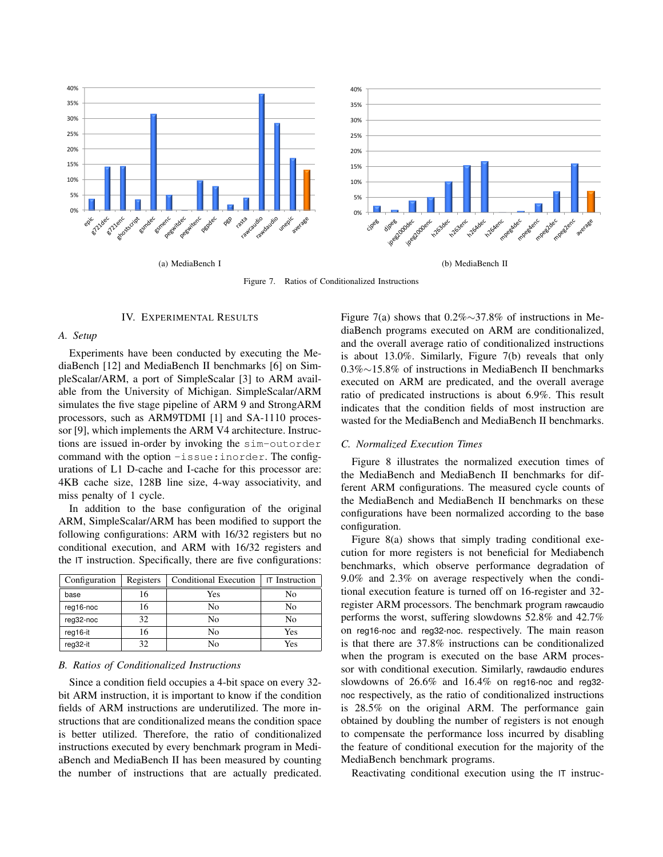

Figure 7. Ratios of Conditionalized Instructions

#### IV. EXPERIMENTAL RESULTS

#### *A. Setup*

Experiments have been conducted by executing the MediaBench [12] and MediaBench II benchmarks [6] on SimpleScalar/ARM, a port of SimpleScalar [3] to ARM available from the University of Michigan. SimpleScalar/ARM simulates the five stage pipeline of ARM 9 and StrongARM processors, such as ARM9TDMI [1] and SA-1110 processor [9], which implements the ARM V4 architecture. Instructions are issued in-order by invoking the sim-outorder command with the option -issue:inorder. The configurations of L1 D-cache and I-cache for this processor are: 4KB cache size, 128B line size, 4-way associativity, and miss penalty of 1 cycle.

In addition to the base configuration of the original ARM, SimpleScalar/ARM has been modified to support the following configurations: ARM with 16/32 registers but no conditional execution, and ARM with 16/32 registers and the IT instruction. Specifically, there are five configurations:

| Configuration | Registers | Conditional Execution | <b>IT</b> Instruction |
|---------------|-----------|-----------------------|-----------------------|
| base          | 16        | Yes                   | No                    |
| reg16-noc     | 16        | No                    | No                    |
| reg32-noc     | 32        | No                    | No                    |
| reg16-it      | 16        | No                    | Yes                   |
| reg32-it      | 32        | Nο                    | Yes                   |

#### *B. Ratios of Conditionalized Instructions*

Since a condition field occupies a 4-bit space on every 32 bit ARM instruction, it is important to know if the condition fields of ARM instructions are underutilized. The more instructions that are conditionalized means the condition space is better utilized. Therefore, the ratio of conditionalized instructions executed by every benchmark program in MediaBench and MediaBench II has been measured by counting the number of instructions that are actually predicated. Figure 7(a) shows that 0.2%∼37.8% of instructions in MediaBench programs executed on ARM are conditionalized, and the overall average ratio of conditionalized instructions is about 13.0%. Similarly, Figure 7(b) reveals that only 0.3%∼15.8% of instructions in MediaBench II benchmarks executed on ARM are predicated, and the overall average ratio of predicated instructions is about 6.9%. This result indicates that the condition fields of most instruction are wasted for the MediaBench and MediaBench II benchmarks.

## *C. Normalized Execution Times*

Figure 8 illustrates the normalized execution times of the MediaBench and MediaBench II benchmarks for different ARM configurations. The measured cycle counts of the MediaBench and MediaBench II benchmarks on these configurations have been normalized according to the base configuration.

Figure 8(a) shows that simply trading conditional execution for more registers is not beneficial for Mediabench benchmarks, which observe performance degradation of 9.0% and 2.3% on average respectively when the conditional execution feature is turned off on 16-register and 32 register ARM processors. The benchmark program rawcaudio performs the worst, suffering slowdowns 52.8% and 42.7% on reg16-noc and reg32-noc. respectively. The main reason is that there are 37.8% instructions can be conditionalized when the program is executed on the base ARM processor with conditional execution. Similarly, rawdaudio endures slowdowns of 26.6% and 16.4% on reg16-noc and reg32 noc respectively, as the ratio of conditionalized instructions is 28.5% on the original ARM. The performance gain obtained by doubling the number of registers is not enough to compensate the performance loss incurred by disabling the feature of conditional execution for the majority of the MediaBench benchmark programs.

Reactivating conditional execution using the IT instruc-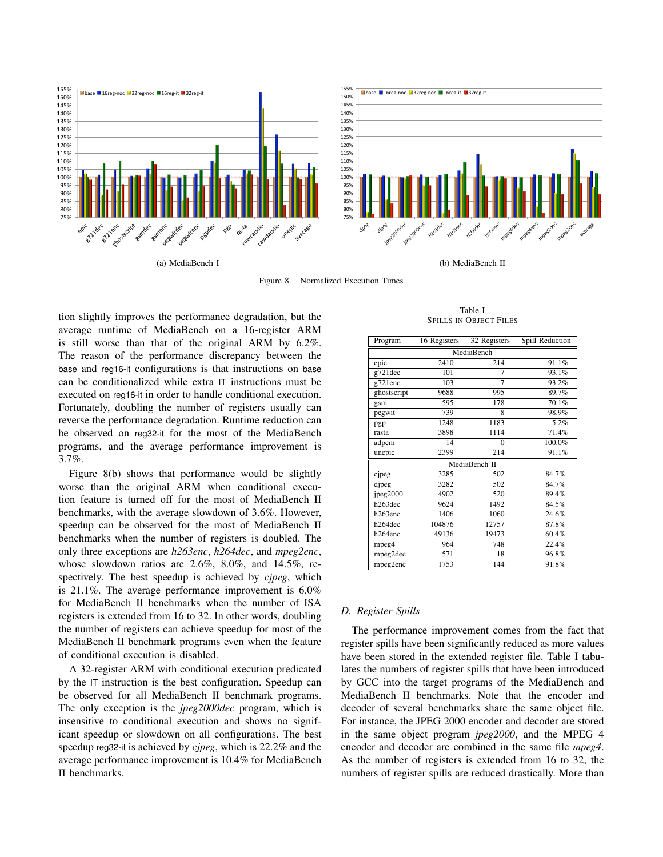

(a) MediaBench I

(b) MediaBench II

Figure 8. Normalized Execution Times

tion slightly improves the performance degradation, but the average runtime of MediaBench on a 16-register ARM is still worse than that of the original ARM by 6.2%. The reason of the performance discrepancy between the base and reg16-it configurations is that instructions on base can be conditionalized while extra IT instructions must be executed on reg16-it in order to handle conditional execution. Fortunately, doubling the number of registers usually can reverse the performance degradation. Runtime reduction can be observed on reg32-it for the most of the MediaBench programs, and the average performance improvement is 3.7%.

Figure 8(b) shows that performance would be slightly worse than the original ARM when conditional execution feature is turned off for the most of MediaBench II benchmarks, with the average slowdown of 3.6%. However, speedup can be observed for the most of MediaBench II benchmarks when the number of registers is doubled. The only three exceptions are *h263enc*, *h264dec*, and *mpeg2enc*, whose slowdown ratios are 2.6%, 8.0%, and 14.5%, respectively. The best speedup is achieved by *cjpeg*, which is 21.1%. The average performance improvement is 6.0% for MediaBench II benchmarks when the number of ISA registers is extended from 16 to 32. In other words, doubling the number of registers can achieve speedup for most of the MediaBench II benchmark programs even when the feature of conditional execution is disabled.

A 32-register ARM with conditional execution predicated by the IT instruction is the best configuration. Speedup can be observed for all MediaBench II benchmark programs. The only exception is the *jpeg2000dec* program, which is insensitive to conditional execution and shows no significant speedup or slowdown on all configurations. The best speedup reg32-it is achieved by *cjpeg*, which is 22.2% and the average performance improvement is 10.4% for MediaBench II benchmarks.

Table I SPILLS IN OBJECT FILES

| Program     | 16 Registers | 32 Registers  | Spill Reduction |
|-------------|--------------|---------------|-----------------|
|             |              | MediaBench    |                 |
| epic        | 2410         | 214           | 91.1%           |
| g721dec     | 101          | 7             | 93.1%           |
| g721enc     | 103          | 7             | 93.2%           |
| ghostscript | 9688         | 995           | 89.7%           |
| gsm         | 595          | 178           | 70.1%           |
| pegwit      | 739          | 8             | 98.9%           |
| pgp         | 1248         | 1183          | 5.2%            |
| rasta       | 3898         | 1114          | 71.4%           |
| adpcm       | 14           | 0             | 100.0%          |
| unepic      | 2399         | 214           | 91.1%           |
|             |              | MediaBench II |                 |
| cjpeg       | 3285         | 502           | 84.7%           |
| dipeg       | 3282         | 502           | 84.7%           |
| jpeg2000    | 4902         | 520           | 89.4%           |
| h263dec     | 9624         | 1492          | 84.5%           |
| h263enc     | 1406         | 1060          | 24.6%           |
| h264dec     | 104876       | 12757         | 87.8%           |
| h264enc     | 49136        | 19473         | 60.4%           |
| mpeg4       | 964          | 748           | 22.4%           |
| mpeg2dec    | 571          | 18            | 96.8%           |
| mpeg2enc    | 1753         | 144           | 91.8%           |

### *D. Register Spills*

The performance improvement comes from the fact that register spills have been significantly reduced as more values have been stored in the extended register file. Table I tabulates the numbers of register spills that have been introduced by GCC into the target programs of the MediaBench and MediaBench II benchmarks. Note that the encoder and decoder of several benchmarks share the same object file. For instance, the JPEG 2000 encoder and decoder are stored in the same object program *jpeg2000*, and the MPEG 4 encoder and decoder are combined in the same file *mpeg4*. As the number of registers is extended from 16 to 32, the numbers of register spills are reduced drastically. More than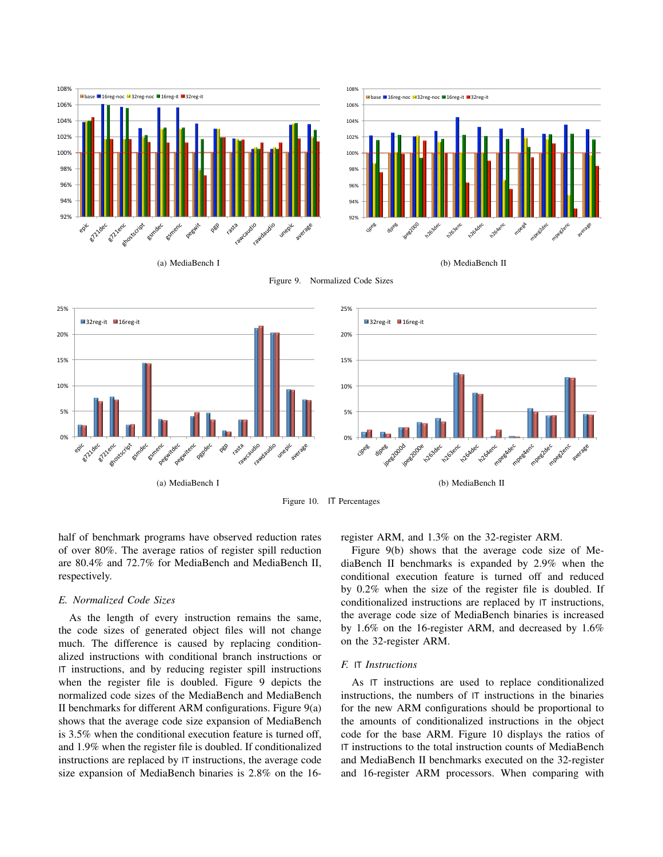

(a) MediaBench I

(b) MediaBench II





Figure 10. IT Percentages

half of benchmark programs have observed reduction rates of over 80%. The average ratios of register spill reduction are 80.4% and 72.7% for MediaBench and MediaBench II, respectively.

## *E. Normalized Code Sizes*

As the length of every instruction remains the same, the code sizes of generated object files will not change much. The difference is caused by replacing conditionalized instructions with conditional branch instructions or IT instructions, and by reducing register spill instructions when the register file is doubled. Figure 9 depicts the normalized code sizes of the MediaBench and MediaBench II benchmarks for different ARM configurations. Figure 9(a) shows that the average code size expansion of MediaBench is 3.5% when the conditional execution feature is turned off, and 1.9% when the register file is doubled. If conditionalized instructions are replaced by IT instructions, the average code size expansion of MediaBench binaries is 2.8% on the 16register ARM, and 1.3% on the 32-register ARM.

Figure 9(b) shows that the average code size of MediaBench II benchmarks is expanded by 2.9% when the conditional execution feature is turned off and reduced by 0.2% when the size of the register file is doubled. If conditionalized instructions are replaced by IT instructions, the average code size of MediaBench binaries is increased by 1.6% on the 16-register ARM, and decreased by 1.6% on the 32-register ARM.

#### *F.* IT *Instructions*

As IT instructions are used to replace conditionalized instructions, the numbers of IT instructions in the binaries for the new ARM configurations should be proportional to the amounts of conditionalized instructions in the object code for the base ARM. Figure 10 displays the ratios of IT instructions to the total instruction counts of MediaBench and MediaBench II benchmarks executed on the 32-register and 16-register ARM processors. When comparing with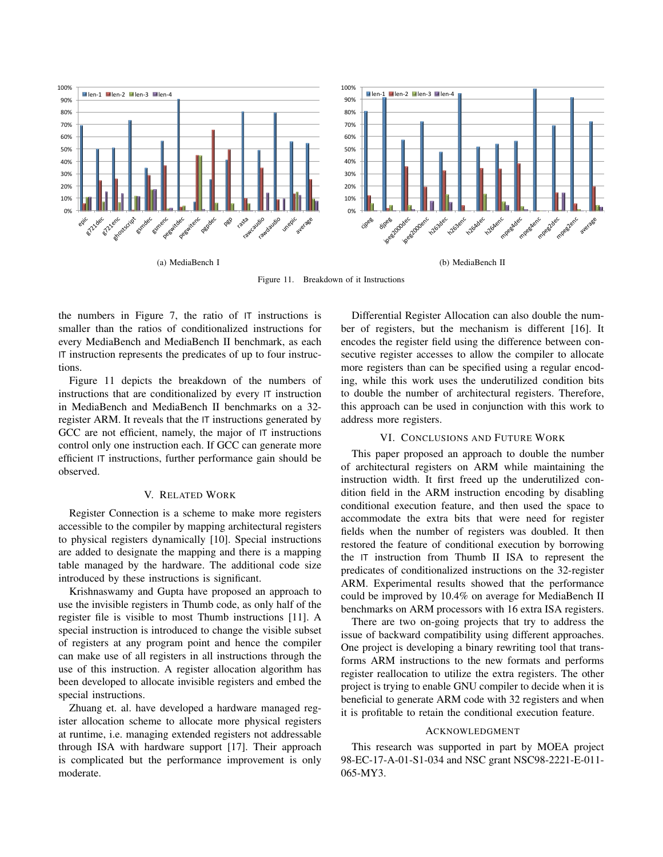

Figure 11. Breakdown of it Instructions

the numbers in Figure 7, the ratio of IT instructions is smaller than the ratios of conditionalized instructions for every MediaBench and MediaBench II benchmark, as each IT instruction represents the predicates of up to four instructions.

Figure 11 depicts the breakdown of the numbers of instructions that are conditionalized by every IT instruction in MediaBench and MediaBench II benchmarks on a 32 register ARM. It reveals that the IT instructions generated by GCC are not efficient, namely, the major of  $|T|$  instructions control only one instruction each. If GCC can generate more efficient IT instructions, further performance gain should be observed.

## V. RELATED WORK

Register Connection is a scheme to make more registers accessible to the compiler by mapping architectural registers to physical registers dynamically [10]. Special instructions are added to designate the mapping and there is a mapping table managed by the hardware. The additional code size introduced by these instructions is significant.

Krishnaswamy and Gupta have proposed an approach to use the invisible registers in Thumb code, as only half of the register file is visible to most Thumb instructions [11]. A special instruction is introduced to change the visible subset of registers at any program point and hence the compiler can make use of all registers in all instructions through the use of this instruction. A register allocation algorithm has been developed to allocate invisible registers and embed the special instructions.

Zhuang et. al. have developed a hardware managed register allocation scheme to allocate more physical registers at runtime, i.e. managing extended registers not addressable through ISA with hardware support [17]. Their approach is complicated but the performance improvement is only moderate.

Differential Register Allocation can also double the number of registers, but the mechanism is different [16]. It encodes the register field using the difference between consecutive register accesses to allow the compiler to allocate more registers than can be specified using a regular encoding, while this work uses the underutilized condition bits to double the number of architectural registers. Therefore, this approach can be used in conjunction with this work to address more registers.

### VI. CONCLUSIONS AND FUTURE WORK

This paper proposed an approach to double the number of architectural registers on ARM while maintaining the instruction width. It first freed up the underutilized condition field in the ARM instruction encoding by disabling conditional execution feature, and then used the space to accommodate the extra bits that were need for register fields when the number of registers was doubled. It then restored the feature of conditional execution by borrowing the IT instruction from Thumb II ISA to represent the predicates of conditionalized instructions on the 32-register ARM. Experimental results showed that the performance could be improved by 10.4% on average for MediaBench II benchmarks on ARM processors with 16 extra ISA registers.

There are two on-going projects that try to address the issue of backward compatibility using different approaches. One project is developing a binary rewriting tool that transforms ARM instructions to the new formats and performs register reallocation to utilize the extra registers. The other project is trying to enable GNU compiler to decide when it is beneficial to generate ARM code with 32 registers and when it is profitable to retain the conditional execution feature.

#### ACKNOWLEDGMENT

This research was supported in part by MOEA project 98-EC-17-A-01-S1-034 and NSC grant NSC98-2221-E-011- 065-MY3.